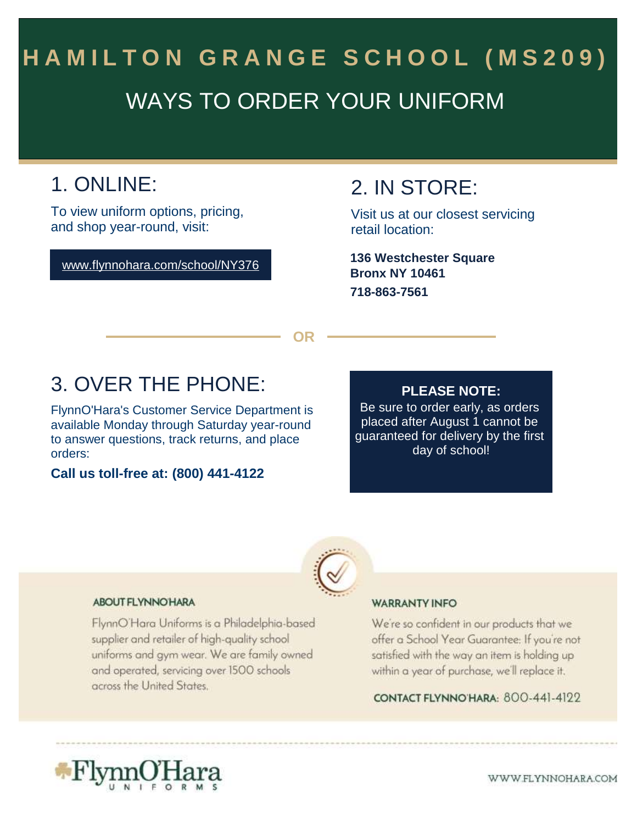# WAYS TO ORDER YOUR UNIFORM HAMILTON GRANGE SCHOOL (MS209)

## 1. ONLINE:

To view uniform options, pricing, and shop year-round, visit:

www.flynnohara.com/school/NY376

### 2. IN STORE:

Visit us at our closest servicing retail location:

**Bronx NY 10461 718-863-7561 136 Westchester Square**

**OR**

### 3. OVER THE PHONE:

FlynnO'Hara's Customer Service Department is available Monday through Saturday year-round to answer questions, track returns, and place orders:

**Call us toll-free at: (800) 441-4122**

#### **PLEASE NOTE:**

Be sure to order early, as orders placed after August 1 cannot be guaranteed for delivery by the first day of school!



#### **ABOUT FLYNNO HARA**

FlynnO'Hara Uniforms is a Philadelphia-based supplier and retailer of high-quality school uniforms and gym wear. We are family owned and operated, servicing over 1500 schools across the United States.

#### **WARRANTY INFO**

We're so confident in our products that we offer a School Year Guarantee: If you're not satisfied with the way an item is holding up within a year of purchase, we'll replace it.

CONTACT FLYNNO HARA: 800-441-4122

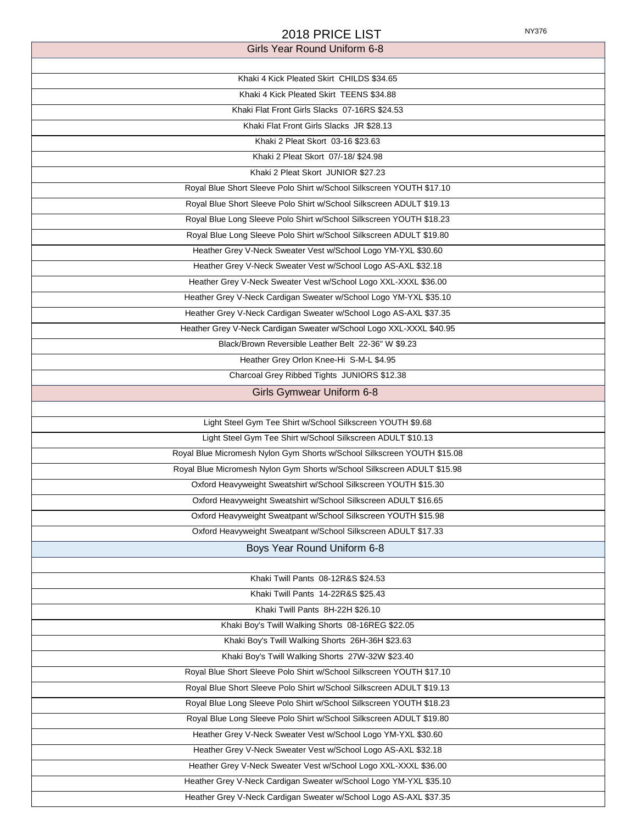| 2018 PRICE LIST                                                         | NY376 |
|-------------------------------------------------------------------------|-------|
| Girls Year Round Uniform 6-8                                            |       |
|                                                                         |       |
| Khaki 4 Kick Pleated Skirt CHILDS \$34.65                               |       |
| Khaki 4 Kick Pleated Skirt TEENS \$34.88                                |       |
| Khaki Flat Front Girls Slacks 07-16RS \$24.53                           |       |
| Khaki Flat Front Girls Slacks JR \$28.13                                |       |
| Khaki 2 Pleat Skort 03-16 \$23.63                                       |       |
| Khaki 2 Pleat Skort 07/-18/ \$24.98                                     |       |
| Khaki 2 Pleat Skort JUNIOR \$27.23                                      |       |
| Royal Blue Short Sleeve Polo Shirt w/School Silkscreen YOUTH \$17.10    |       |
| Royal Blue Short Sleeve Polo Shirt w/School Silkscreen ADULT \$19.13    |       |
| Royal Blue Long Sleeve Polo Shirt w/School Silkscreen YOUTH \$18.23     |       |
| Royal Blue Long Sleeve Polo Shirt w/School Silkscreen ADULT \$19.80     |       |
| Heather Grey V-Neck Sweater Vest w/School Logo YM-YXL \$30.60           |       |
| Heather Grey V-Neck Sweater Vest w/School Logo AS-AXL \$32.18           |       |
| Heather Grey V-Neck Sweater Vest w/School Logo XXL-XXXL \$36.00         |       |
| Heather Grey V-Neck Cardigan Sweater w/School Logo YM-YXL \$35.10       |       |
| Heather Grey V-Neck Cardigan Sweater w/School Logo AS-AXL \$37.35       |       |
| Heather Grey V-Neck Cardigan Sweater w/School Logo XXL-XXXL \$40.95     |       |
| Black/Brown Reversible Leather Belt 22-36" W \$9.23                     |       |
| Heather Grey Orlon Knee-Hi S-M-L \$4.95                                 |       |
| Charcoal Grey Ribbed Tights JUNIORS \$12.38                             |       |
| <b>Girls Gymwear Uniform 6-8</b>                                        |       |
|                                                                         |       |
| Light Steel Gym Tee Shirt w/School Silkscreen YOUTH \$9.68              |       |
| Light Steel Gym Tee Shirt w/School Silkscreen ADULT \$10.13             |       |
| Royal Blue Micromesh Nylon Gym Shorts w/School Silkscreen YOUTH \$15.08 |       |
| Royal Blue Micromesh Nylon Gym Shorts w/School Silkscreen ADULT \$15.98 |       |
| Oxford Heavyweight Sweatshirt w/School Silkscreen YOUTH \$15.30         |       |
| Oxford Heavyweight Sweatshirt w/School Silkscreen ADULT \$16.65         |       |
| Oxford Heavyweight Sweatpant w/School Silkscreen YOUTH \$15.98          |       |
| Oxford Heavyweight Sweatpant w/School Silkscreen ADULT \$17.33          |       |
| Boys Year Round Uniform 6-8                                             |       |
|                                                                         |       |
| Khaki Twill Pants 08-12R&S \$24.53                                      |       |
| Khaki Twill Pants 14-22R&S \$25.43                                      |       |
| Khaki Twill Pants 8H-22H \$26.10                                        |       |
| Khaki Boy's Twill Walking Shorts 08-16REG \$22.05                       |       |
| Khaki Boy's Twill Walking Shorts 26H-36H \$23.63                        |       |
| Khaki Boy's Twill Walking Shorts 27W-32W \$23.40                        |       |
| Royal Blue Short Sleeve Polo Shirt w/School Silkscreen YOUTH \$17.10    |       |
| Royal Blue Short Sleeve Polo Shirt w/School Silkscreen ADULT \$19.13    |       |
| Royal Blue Long Sleeve Polo Shirt w/School Silkscreen YOUTH \$18.23     |       |
| Royal Blue Long Sleeve Polo Shirt w/School Silkscreen ADULT \$19.80     |       |
| Heather Grey V-Neck Sweater Vest w/School Logo YM-YXL \$30.60           |       |
| Heather Grey V-Neck Sweater Vest w/School Logo AS-AXL \$32.18           |       |
| Heather Grey V-Neck Sweater Vest w/School Logo XXL-XXXL \$36.00         |       |
| Heather Grey V-Neck Cardigan Sweater w/School Logo YM-YXL \$35.10       |       |
| Heather Grey V-Neck Cardigan Sweater w/School Logo AS-AXL \$37.35       |       |